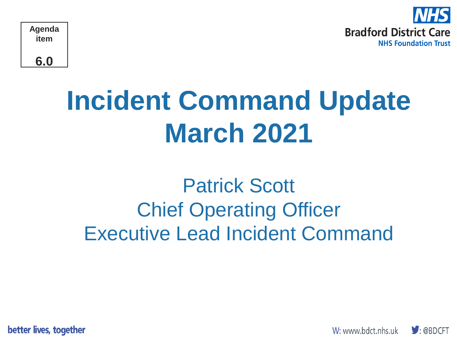

# **Incident Command Update March 2021**

# Patrick Scott Chief Operating Officer Executive Lead Incident Command

better lives, together

W: www.bdct.nhs.uk

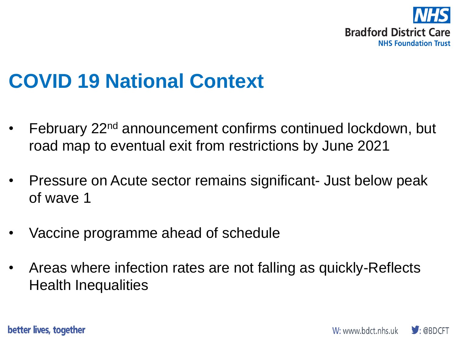

#### **COVID 19 National Context**

- February 22<sup>nd</sup> announcement confirms continued lockdown, but road map to eventual exit from restrictions by June 2021
- Pressure on Acute sector remains significant- Just below peak of wave 1
- Vaccine programme ahead of schedule
- Areas where infection rates are not falling as quickly-Reflects Health Inequalities

better lives, together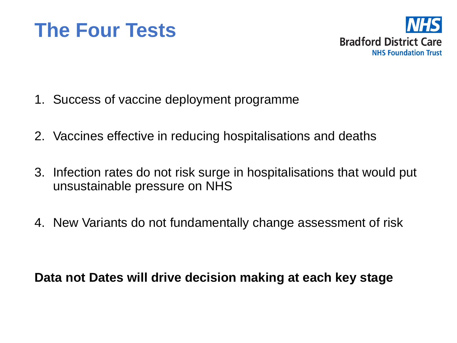



- 1. Success of vaccine deployment programme
- 2. Vaccines effective in reducing hospitalisations and deaths
- 3. Infection rates do not risk surge in hospitalisations that would put unsustainable pressure on NHS
- 4. New Variants do not fundamentally change assessment of risk

**Data not Dates will drive decision making at each key stage**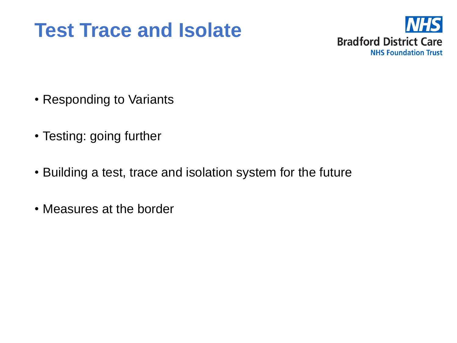### **Test Trace and Isolate**



- Responding to Variants
- Testing: going further
- Building a test, trace and isolation system for the future
- Measures at the border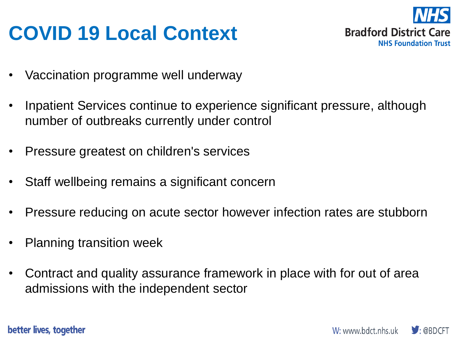## **COVID 19 Local Context**



- Vaccination programme well underway
- Inpatient Services continue to experience significant pressure, although number of outbreaks currently under control
- Pressure greatest on children's services
- Staff wellbeing remains a significant concern
- Pressure reducing on acute sector however infection rates are stubborn
- Planning transition week
- Contract and quality assurance framework in place with for out of area admissions with the independent sector